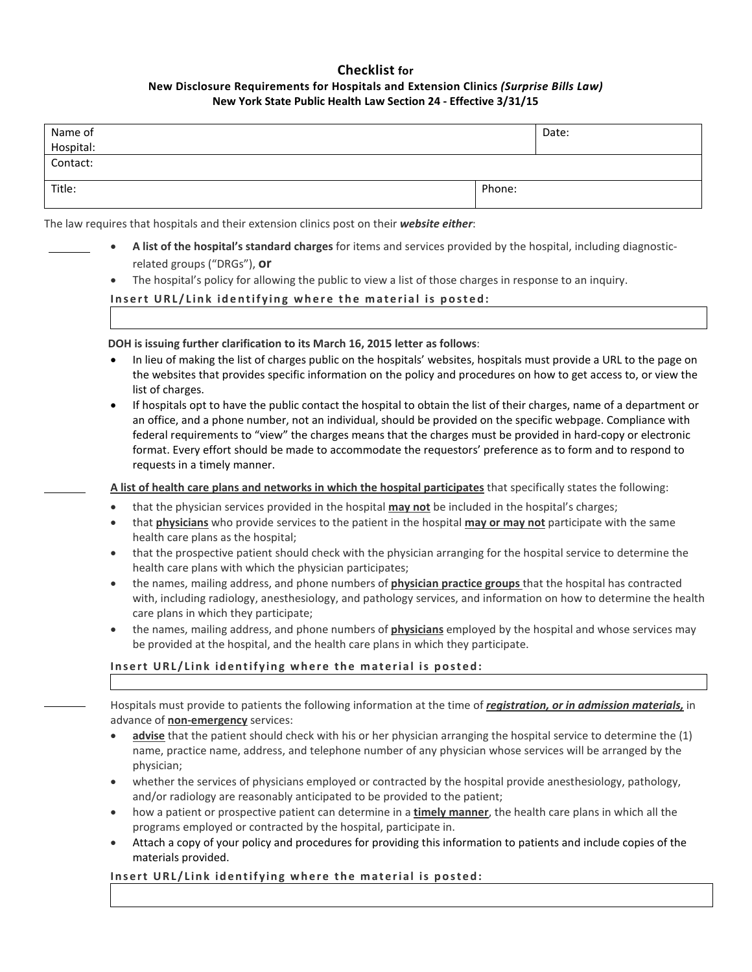## **Checklist for New Disclosure Requirements for Hospitals and Extension Clinics** *(Surprise Bills Law)*  **New York State Public Health Law Section 24 - Effective 3/31/15**

| Name of<br>Hospital: |        | Date: |
|----------------------|--------|-------|
| Contact:             |        |       |
| Title:               | Phone: |       |

The law requires that hospitals and their extension clinics post on their *website either*:

- **A list of the hospital's standard charges** for items and services provided by the hospital, including diagnosticrelated groups ("DRGs"), **or**
	- The hospital's policy for allowing the public to view a list of those charges in response to an inquiry.

## **Insert URL/Link identifying where the material is posted:**

**DOH is issuing further clarification to its March 16, 2015 letter as follows**:

- In lieu of making the list of charges public on the hospitals' websites, hospitals must provide a URL to the page on the websites that provides specific information on the policy and procedures on how to get access to, or view the list of charges.
- If hospitals opt to have the public contact the hospital to obtain the list of their charges, name of a department or an office, and a phone number, not an individual, should be provided on the specific webpage. Compliance with federal requirements to "view" the charges means that the charges must be provided in hard-copy or electronic format. Every effort should be made to accommodate the requestors' preference as to form and to respond to requests in a timely manner.

**A list of health care plans and networks in which the hospital participates** that specifically states the following:

- that the physician services provided in the hospital **may not** be included in the hospital's charges;
- that **physicians** who provide services to the patient in the hospital **may or may not** participate with the same health care plans as the hospital;
- that the prospective patient should check with the physician arranging for the hospital service to determine the health care plans with which the physician participates;
- the names, mailing address, and phone numbers of **physician practice groups** that the hospital has contracted with, including radiology, anesthesiology, and pathology services, and information on how to determine the health care plans in which they participate;
- the names, mailing address, and phone numbers of **physicians** employed by the hospital and whose services may be provided at the hospital, and the health care plans in which they participate.

## **Insert URL/Link identifying where the material is posted:**

Hospitals must provide to patients the following information at the time of *registration, or in admission materials,* in advance of **non-emergency** services:

- **advise** that the patient should check with his or her physician arranging the hospital service to determine the (1) name, practice name, address, and telephone number of any physician whose services will be arranged by the physician;
- whether the services of physicians employed or contracted by the hospital provide anesthesiology, pathology, and/or radiology are reasonably anticipated to be provided to the patient;
- how a patient or prospective patient can determine in a **timely manner**, the health care plans in which all the programs employed or contracted by the hospital, participate in.
- Attach a copy of your policy and procedures for providing this information to patients and include copies of the materials provided.

**Insert URL/Link identifying where the material is posted:**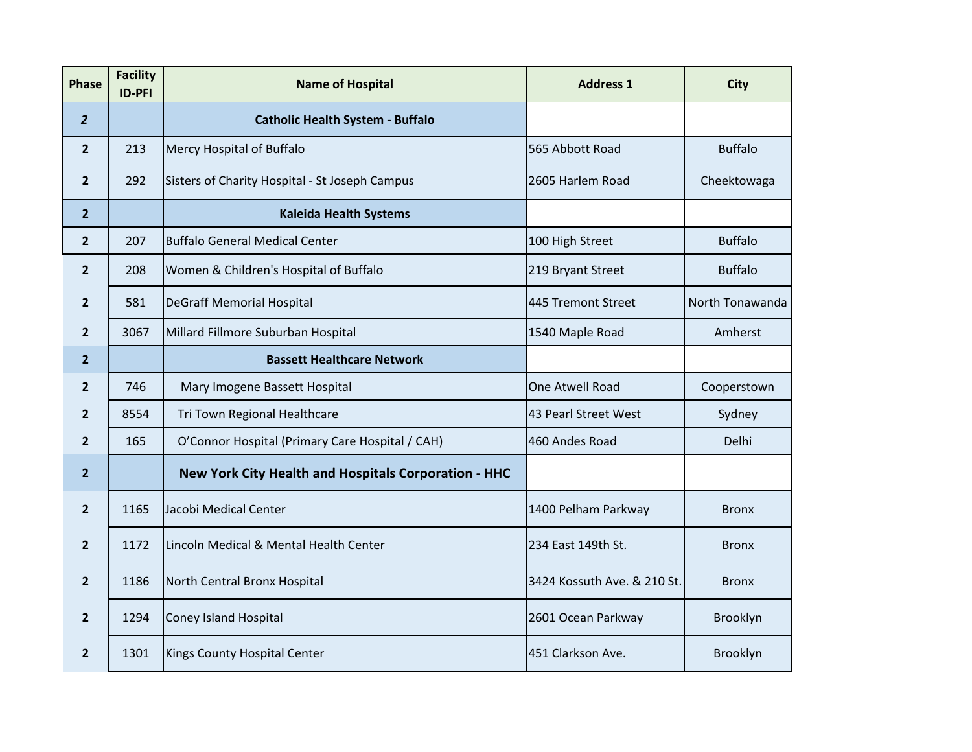| <b>Phase</b>   | <b>Facility</b><br><b>ID-PFI</b> | <b>Name of Hospital</b>                              | <b>Address 1</b>            | <b>City</b>     |
|----------------|----------------------------------|------------------------------------------------------|-----------------------------|-----------------|
| $\overline{2}$ |                                  | <b>Catholic Health System - Buffalo</b>              |                             |                 |
| $\overline{2}$ | 213                              | Mercy Hospital of Buffalo                            | 565 Abbott Road             | <b>Buffalo</b>  |
| $\overline{2}$ | 292                              | Sisters of Charity Hospital - St Joseph Campus       | 2605 Harlem Road            | Cheektowaga     |
| $\overline{2}$ |                                  | <b>Kaleida Health Systems</b>                        |                             |                 |
| $\overline{2}$ | 207                              | <b>Buffalo General Medical Center</b>                | 100 High Street             | <b>Buffalo</b>  |
| $\overline{2}$ | 208                              | Women & Children's Hospital of Buffalo               | 219 Bryant Street           | <b>Buffalo</b>  |
| $\overline{2}$ | 581                              | <b>DeGraff Memorial Hospital</b>                     | 445 Tremont Street          | North Tonawanda |
| $\overline{2}$ | 3067                             | Millard Fillmore Suburban Hospital                   | 1540 Maple Road             | Amherst         |
| $\overline{2}$ |                                  | <b>Bassett Healthcare Network</b>                    |                             |                 |
| $\overline{2}$ | 746                              | Mary Imogene Bassett Hospital                        | One Atwell Road             | Cooperstown     |
| $\overline{2}$ | 8554                             | Tri Town Regional Healthcare                         | 43 Pearl Street West        | Sydney          |
| $\overline{2}$ | 165                              | O'Connor Hospital (Primary Care Hospital / CAH)      | 460 Andes Road              | Delhi           |
| $\overline{2}$ |                                  | New York City Health and Hospitals Corporation - HHC |                             |                 |
| $\overline{2}$ | 1165                             | Jacobi Medical Center                                | 1400 Pelham Parkway         | <b>Bronx</b>    |
| $\overline{2}$ | 1172                             | Lincoln Medical & Mental Health Center               | 234 East 149th St.          | <b>Bronx</b>    |
| $\overline{2}$ | 1186                             | North Central Bronx Hospital                         | 3424 Kossuth Ave. & 210 St. | <b>Bronx</b>    |
| $\overline{2}$ | 1294                             | <b>Coney Island Hospital</b>                         | 2601 Ocean Parkway          | Brooklyn        |
| $\overline{2}$ | 1301                             | Kings County Hospital Center                         | 451 Clarkson Ave.           | Brooklyn        |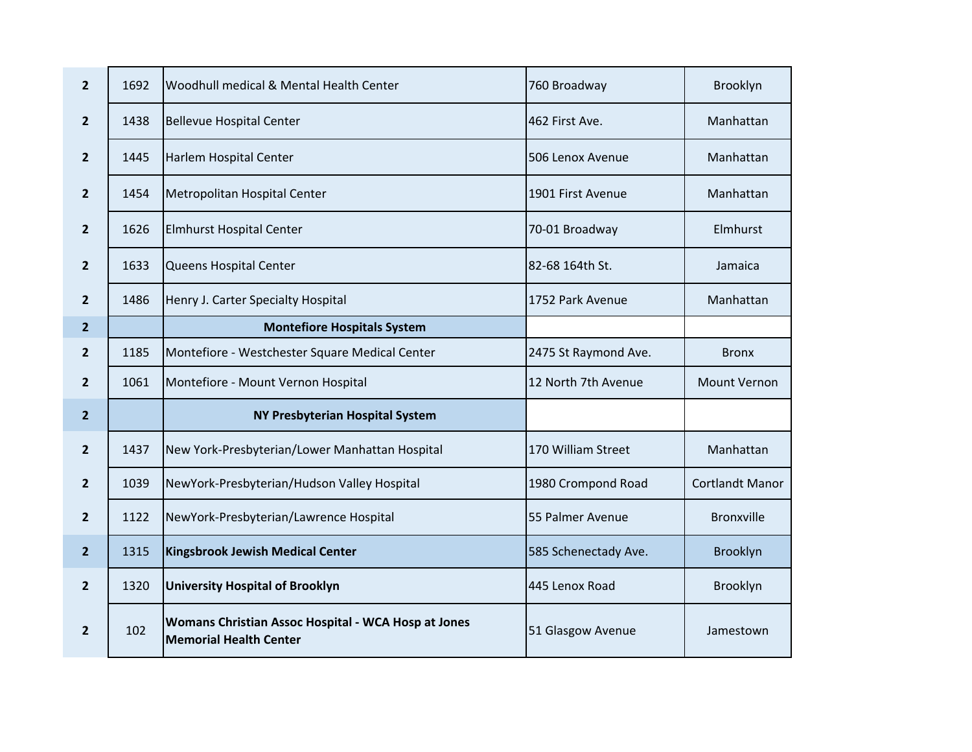| $\overline{2}$ | 1692 | Woodhull medical & Mental Health Center                                              | 760 Broadway         | Brooklyn               |
|----------------|------|--------------------------------------------------------------------------------------|----------------------|------------------------|
| $\mathbf{2}$   | 1438 | <b>Bellevue Hospital Center</b>                                                      | 462 First Ave.       | Manhattan              |
| $\overline{2}$ | 1445 | Harlem Hospital Center                                                               | 506 Lenox Avenue     | Manhattan              |
| $\overline{2}$ | 1454 | Metropolitan Hospital Center                                                         | 1901 First Avenue    | Manhattan              |
| $\overline{2}$ | 1626 | <b>Elmhurst Hospital Center</b>                                                      | 70-01 Broadway       | Elmhurst               |
| $\overline{2}$ | 1633 | Queens Hospital Center                                                               | 82-68 164th St.      | Jamaica                |
| $\overline{2}$ | 1486 | Henry J. Carter Specialty Hospital                                                   | 1752 Park Avenue     | Manhattan              |
| $\overline{2}$ |      | <b>Montefiore Hospitals System</b>                                                   |                      |                        |
| $\overline{2}$ | 1185 | Montefiore - Westchester Square Medical Center                                       | 2475 St Raymond Ave. | <b>Bronx</b>           |
| $\overline{2}$ | 1061 | Montefiore - Mount Vernon Hospital                                                   | 12 North 7th Avenue  | Mount Vernon           |
| $\overline{2}$ |      | <b>NY Presbyterian Hospital System</b>                                               |                      |                        |
| $\overline{2}$ | 1437 | New York-Presbyterian/Lower Manhattan Hospital                                       | 170 William Street   | Manhattan              |
| $\overline{2}$ | 1039 | NewYork-Presbyterian/Hudson Valley Hospital                                          | 1980 Crompond Road   | <b>Cortlandt Manor</b> |
| $\overline{2}$ | 1122 | NewYork-Presbyterian/Lawrence Hospital                                               | 55 Palmer Avenue     | <b>Bronxville</b>      |
| 2 <sup>2</sup> | 1315 | Kingsbrook Jewish Medical Center                                                     | 585 Schenectady Ave. | Brooklyn               |
| $\overline{2}$ | 1320 | <b>University Hospital of Brooklyn</b>                                               | 445 Lenox Road       | Brooklyn               |
| $\overline{2}$ | 102  | Womans Christian Assoc Hospital - WCA Hosp at Jones<br><b>Memorial Health Center</b> | 51 Glasgow Avenue    | Jamestown              |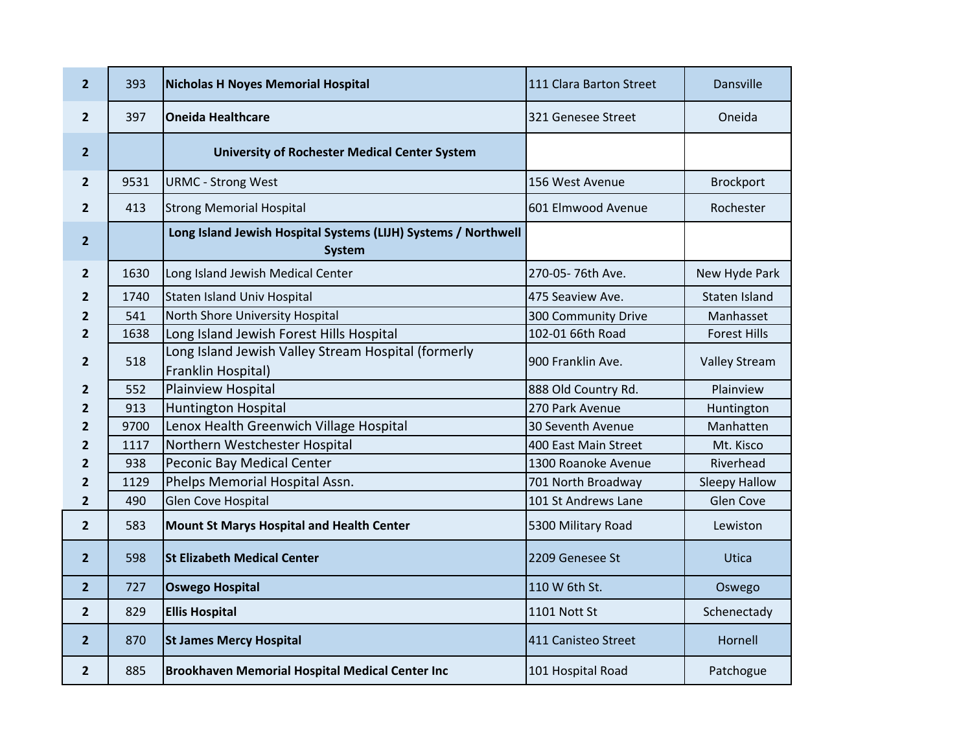| $\overline{2}$ | 393  | <b>Nicholas H Noyes Memorial Hospital</b>                                       | 111 Clara Barton Street | Dansville            |
|----------------|------|---------------------------------------------------------------------------------|-------------------------|----------------------|
| $\overline{2}$ | 397  | <b>Oneida Healthcare</b>                                                        | 321 Genesee Street      | Oneida               |
| $\overline{2}$ |      | <b>University of Rochester Medical Center System</b>                            |                         |                      |
| $\overline{2}$ | 9531 | <b>URMC - Strong West</b>                                                       | 156 West Avenue         | <b>Brockport</b>     |
| $\overline{2}$ | 413  | <b>Strong Memorial Hospital</b>                                                 | 601 Elmwood Avenue      | Rochester            |
| $\overline{2}$ |      | Long Island Jewish Hospital Systems (LIJH) Systems / Northwell<br><b>System</b> |                         |                      |
| $\overline{2}$ | 1630 | Long Island Jewish Medical Center                                               | 270-05-76th Ave.        | New Hyde Park        |
| 2              | 1740 | <b>Staten Island Univ Hospital</b>                                              | 475 Seaview Ave.        | Staten Island        |
| 2              | 541  | North Shore University Hospital                                                 | 300 Community Drive     | Manhasset            |
| $\overline{2}$ | 1638 | Long Island Jewish Forest Hills Hospital                                        | 102-01 66th Road        | <b>Forest Hills</b>  |
| $\overline{2}$ | 518  | Long Island Jewish Valley Stream Hospital (formerly<br>Franklin Hospital)       | 900 Franklin Ave.       | <b>Valley Stream</b> |
| 2              | 552  | <b>Plainview Hospital</b>                                                       | 888 Old Country Rd.     | Plainview            |
| 2              | 913  | <b>Huntington Hospital</b>                                                      | 270 Park Avenue         | Huntington           |
| 2              | 9700 | Lenox Health Greenwich Village Hospital                                         | 30 Seventh Avenue       | Manhatten            |
| 2              | 1117 | Northern Westchester Hospital                                                   | 400 East Main Street    | Mt. Kisco            |
| 2              | 938  | Peconic Bay Medical Center                                                      | 1300 Roanoke Avenue     | Riverhead            |
| 2              | 1129 | Phelps Memorial Hospital Assn.                                                  | 701 North Broadway      | <b>Sleepy Hallow</b> |
| 2              | 490  | <b>Glen Cove Hospital</b>                                                       | 101 St Andrews Lane     | Glen Cove            |
| $\overline{2}$ | 583  | Mount St Marys Hospital and Health Center                                       | 5300 Military Road      | Lewiston             |
| $\overline{2}$ | 598  | <b>St Elizabeth Medical Center</b>                                              | 2209 Genesee St         | Utica                |
| $\overline{2}$ | 727  | <b>Oswego Hospital</b>                                                          | 110 W 6th St.           | Oswego               |
| $\overline{2}$ | 829  | <b>Ellis Hospital</b>                                                           | 1101 Nott St            | Schenectady          |
| $\overline{2}$ | 870  | <b>St James Mercy Hospital</b>                                                  | 411 Canisteo Street     | Hornell              |
| $\overline{2}$ | 885  | <b>Brookhaven Memorial Hospital Medical Center Inc</b>                          | 101 Hospital Road       | Patchogue            |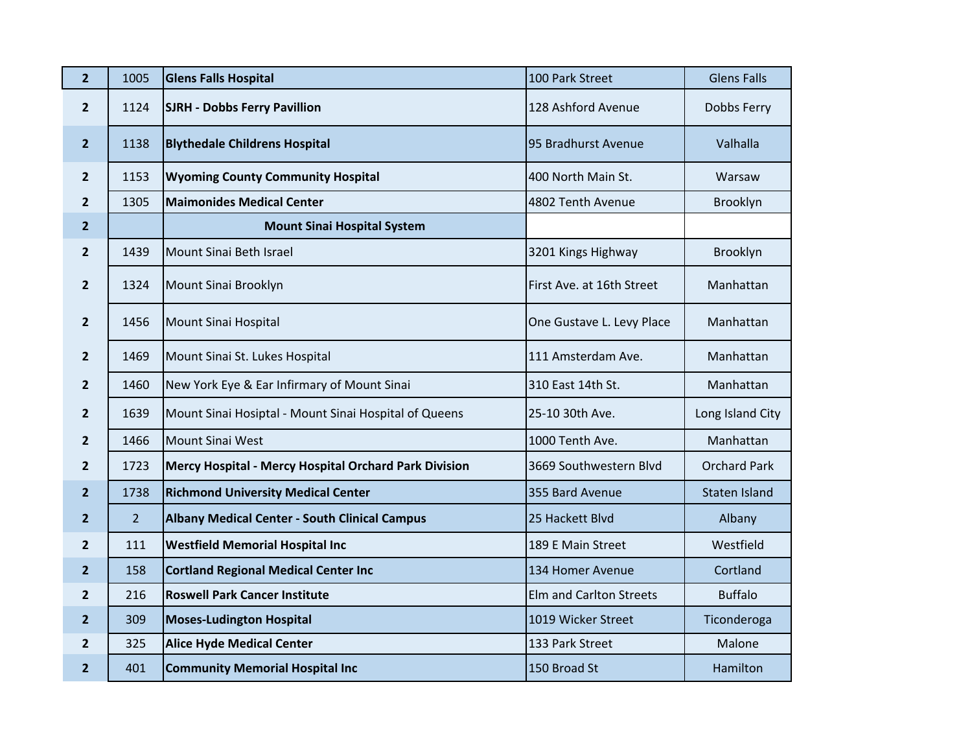| $\overline{2}$ | 1005           | <b>Glens Falls Hospital</b>                           | 100 Park Street                | <b>Glens Falls</b>   |
|----------------|----------------|-------------------------------------------------------|--------------------------------|----------------------|
| $\overline{2}$ | 1124           | <b>SJRH - Dobbs Ferry Pavillion</b>                   | 128 Ashford Avenue             | Dobbs Ferry          |
| $\overline{2}$ | 1138           | <b>Blythedale Childrens Hospital</b>                  | 95 Bradhurst Avenue            | Valhalla             |
| $\overline{2}$ | 1153           | <b>Wyoming County Community Hospital</b>              | 400 North Main St.             | Warsaw               |
| $\overline{2}$ | 1305           | <b>Maimonides Medical Center</b>                      | 4802 Tenth Avenue              | Brooklyn             |
| $\overline{2}$ |                | <b>Mount Sinai Hospital System</b>                    |                                |                      |
| $\overline{2}$ | 1439           | Mount Sinai Beth Israel                               | 3201 Kings Highway             | Brooklyn             |
| $\overline{2}$ | 1324           | Mount Sinai Brooklyn                                  | First Ave. at 16th Street      | Manhattan            |
| $\overline{2}$ | 1456           | Mount Sinai Hospital                                  | One Gustave L. Levy Place      | Manhattan            |
| $\overline{2}$ | 1469           | Mount Sinai St. Lukes Hospital                        | 111 Amsterdam Ave.             | Manhattan            |
| $\mathbf{2}$   | 1460           | New York Eye & Ear Infirmary of Mount Sinai           | 310 East 14th St.              | Manhattan            |
| $\overline{2}$ | 1639           | Mount Sinai Hosiptal - Mount Sinai Hospital of Queens | 25-10 30th Ave.                | Long Island City     |
| $\mathbf{2}$   | 1466           | <b>Mount Sinai West</b>                               | 1000 Tenth Ave.                | Manhattan            |
| $\overline{2}$ | 1723           | Mercy Hospital - Mercy Hospital Orchard Park Division | 3669 Southwestern Blvd         | <b>Orchard Park</b>  |
| $\overline{2}$ | 1738           | <b>Richmond University Medical Center</b>             | 355 Bard Avenue                | <b>Staten Island</b> |
| $\overline{2}$ | $\overline{2}$ | <b>Albany Medical Center - South Clinical Campus</b>  | 25 Hackett Blvd                | Albany               |
| $\mathbf{2}$   | 111            | <b>Westfield Memorial Hospital Inc</b>                | 189 E Main Street              | Westfield            |
| $\overline{2}$ | 158            | <b>Cortland Regional Medical Center Inc</b>           | 134 Homer Avenue               | Cortland             |
| $\overline{2}$ | 216            | <b>Roswell Park Cancer Institute</b>                  | <b>Elm and Carlton Streets</b> | <b>Buffalo</b>       |
| $\overline{2}$ | 309            | <b>Moses-Ludington Hospital</b>                       | 1019 Wicker Street             | Ticonderoga          |
| $\overline{2}$ | 325            | <b>Alice Hyde Medical Center</b>                      | 133 Park Street                | Malone               |
| $\overline{2}$ | 401            | <b>Community Memorial Hospital Inc</b>                | 150 Broad St                   | Hamilton             |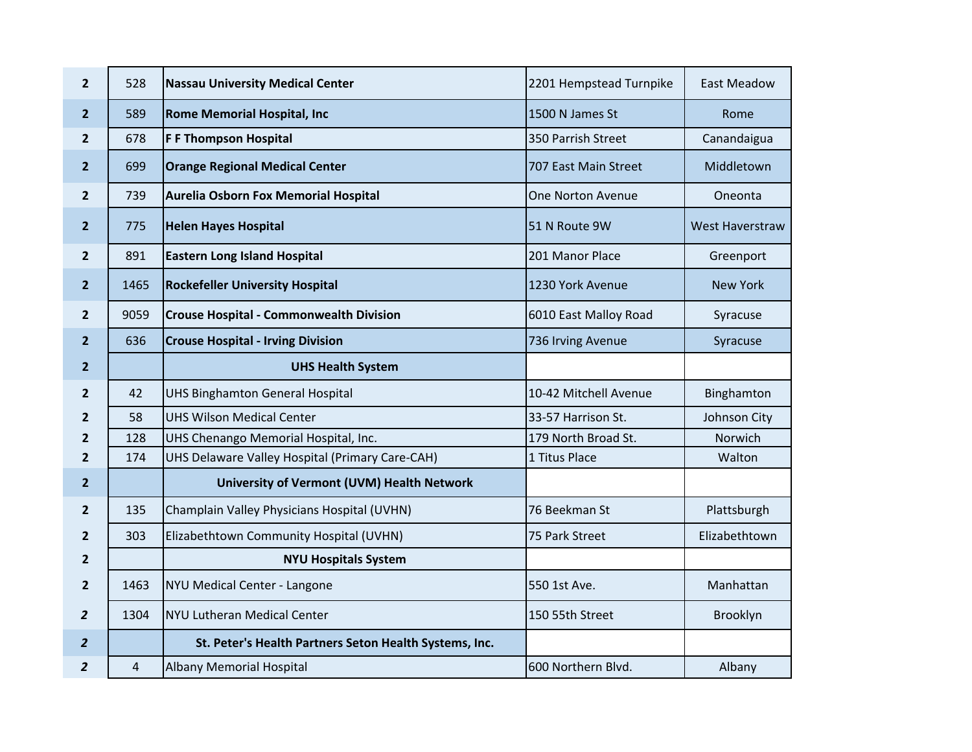| $\overline{2}$ | 528            | <b>Nassau University Medical Center</b>                | 2201 Hempstead Turnpike | <b>East Meadow</b>     |
|----------------|----------------|--------------------------------------------------------|-------------------------|------------------------|
| $\overline{2}$ | 589            | <b>Rome Memorial Hospital, Inc</b>                     | 1500 N James St         | Rome                   |
| $\overline{2}$ | 678            | <b>F F Thompson Hospital</b>                           | 350 Parrish Street      | Canandaigua            |
| $\overline{2}$ | 699            | <b>Orange Regional Medical Center</b>                  | 707 East Main Street    | Middletown             |
| $2^{1}$        | 739            | Aurelia Osborn Fox Memorial Hospital                   | One Norton Avenue       | Oneonta                |
| $\overline{2}$ | 775            | <b>Helen Hayes Hospital</b>                            | 51 N Route 9W           | <b>West Haverstraw</b> |
| $\overline{2}$ | 891            | <b>Eastern Long Island Hospital</b>                    | 201 Manor Place         | Greenport              |
| $\overline{2}$ | 1465           | <b>Rockefeller University Hospital</b>                 | 1230 York Avenue        | <b>New York</b>        |
| $\overline{2}$ | 9059           | <b>Crouse Hospital - Commonwealth Division</b>         | 6010 East Malloy Road   | Syracuse               |
| $\overline{2}$ | 636            | <b>Crouse Hospital - Irving Division</b>               | 736 Irving Avenue       | Syracuse               |
| $\overline{2}$ |                | <b>UHS Health System</b>                               |                         |                        |
| $\overline{2}$ | 42             | <b>UHS Binghamton General Hospital</b>                 | 10-42 Mitchell Avenue   | Binghamton             |
| $\overline{2}$ | 58             | <b>UHS Wilson Medical Center</b>                       | 33-57 Harrison St.      | Johnson City           |
| $\overline{2}$ | 128            | UHS Chenango Memorial Hospital, Inc.                   | 179 North Broad St.     | Norwich                |
| $\overline{2}$ | 174            | UHS Delaware Valley Hospital (Primary Care-CAH)        | 1 Titus Place           | Walton                 |
| $\overline{2}$ |                | University of Vermont (UVM) Health Network             |                         |                        |
| $\overline{2}$ | 135            | Champlain Valley Physicians Hospital (UVHN)            | 76 Beekman St           | Plattsburgh            |
| $\overline{2}$ | 303            | Elizabethtown Community Hospital (UVHN)                | 75 Park Street          | Elizabethtown          |
| $\overline{2}$ |                | <b>NYU Hospitals System</b>                            |                         |                        |
| $\overline{2}$ | 1463           | NYU Medical Center - Langone                           | 550 1st Ave.            | Manhattan              |
| $\overline{2}$ | 1304           | <b>NYU Lutheran Medical Center</b>                     | 150 55th Street         | Brooklyn               |
| $\overline{2}$ |                | St. Peter's Health Partners Seton Health Systems, Inc. |                         |                        |
| $\overline{2}$ | $\overline{4}$ | <b>Albany Memorial Hospital</b>                        | 600 Northern Blvd.      | Albany                 |